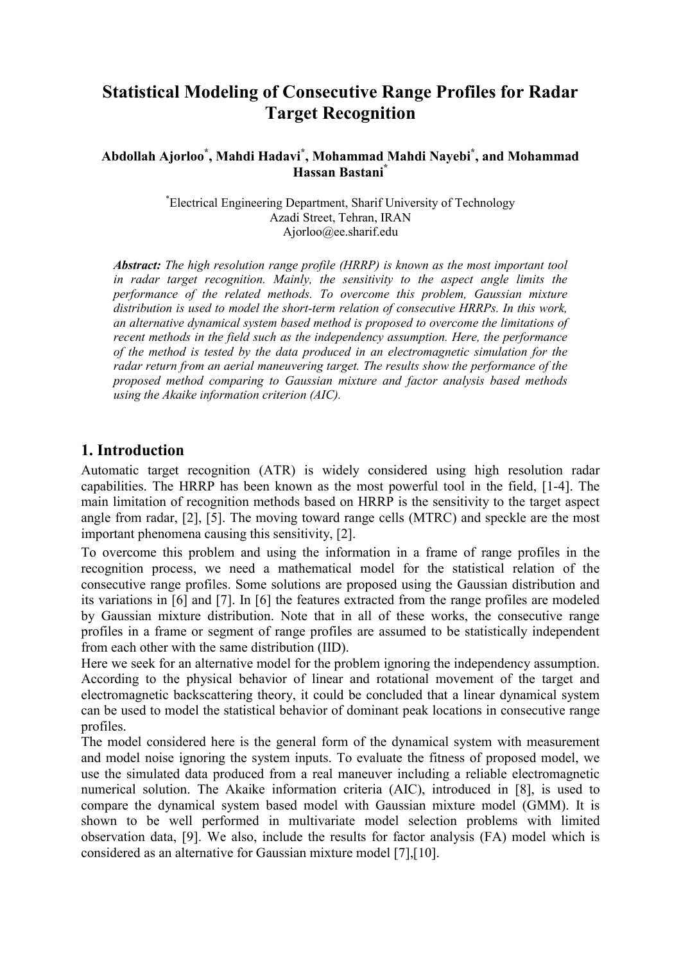# **Statistical Modeling of Consecutive Range Profiles for Radar Target Recognition**

# **Abdollah Ajorloo\* , Mahdi Hadavi\* , Mohammad Mahdi Nayebi\* , and Mohammad Hassan Bastani\***

\* Electrical Engineering Department, Sharif University of Technology Azadi Street, Tehran, IRAN Ajorloo@ee.sharif.edu

*Abstract: The high resolution range profile (HRRP) is known as the most important tool in radar target recognition. Mainly, the sensitivity to the aspect angle limits the performance of the related methods. To overcome this problem, Gaussian mixture distribution is used to model the short-term relation of consecutive HRRPs. In this work, an alternative dynamical system based method is proposed to overcome the limitations of recent methods in the field such as the independency assumption. Here, the performance of the method is tested by the data produced in an electromagnetic simulation for the radar return from an aerial maneuvering target. The results show the performance of the proposed method comparing to Gaussian mixture and factor analysis based methods using the Akaike information criterion (AIC).* 

# **1. Introduction**

Automatic target recognition (ATR) is widely considered using high resolution radar capabilities. The HRRP has been known as the most powerful tool in the field, [1-4]. The main limitation of recognition methods based on HRRP is the sensitivity to the target aspect angle from radar, [2], [5]. The moving toward range cells (MTRC) and speckle are the most important phenomena causing this sensitivity, [2].

To overcome this problem and using the information in a frame of range profiles in the recognition process, we need a mathematical model for the statistical relation of the consecutive range profiles. Some solutions are proposed using the Gaussian distribution and its variations in [6] and [7]. In [6] the features extracted from the range profiles are modeled by Gaussian mixture distribution. Note that in all of these works, the consecutive range profiles in a frame or segment of range profiles are assumed to be statistically independent from each other with the same distribution (IID).

Here we seek for an alternative model for the problem ignoring the independency assumption. According to the physical behavior of linear and rotational movement of the target and electromagnetic backscattering theory, it could be concluded that a linear dynamical system can be used to model the statistical behavior of dominant peak locations in consecutive range profiles.

The model considered here is the general form of the dynamical system with measurement and model noise ignoring the system inputs. To evaluate the fitness of proposed model, we use the simulated data produced from a real maneuver including a reliable electromagnetic numerical solution. The Akaike information criteria (AIC), introduced in [8], is used to compare the dynamical system based model with Gaussian mixture model (GMM). It is shown to be well performed in multivariate model selection problems with limited observation data, [9]. We also, include the results for factor analysis (FA) model which is considered as an alternative for Gaussian mixture model [7],[10].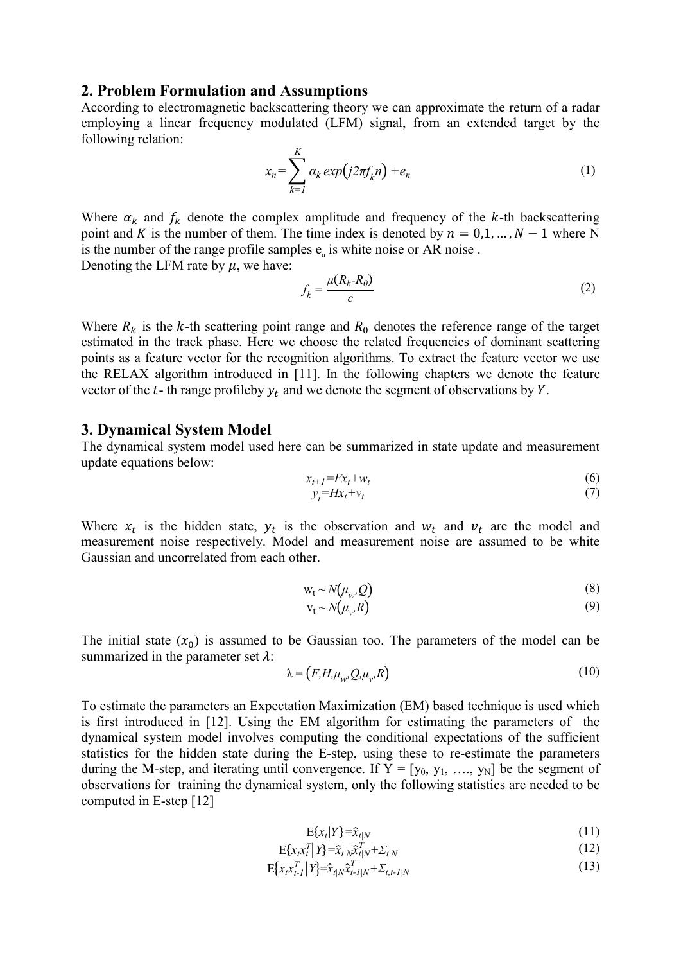#### **2. Problem Formulation and Assumptions**

According to electromagnetic backscattering theory we can approximate the return of a radar employing a linear frequency modulated (LFM) signal, from an extended target by the following relation:

$$
x_n = \sum_{k=1}^K \alpha_k \exp(j2\pi f_k n) + e_n \tag{1}
$$

Where  $\alpha_k$  and  $f_k$  denote the complex amplitude and frequency of the k-th backscattering point and K is the number of them. The time index is denoted by  $n = 0, 1, ..., N - 1$  where N is the number of the range profile samples  $e_n$  is white noise or AR noise. Denoting the LFM rate by  $\mu$ , we have:

$$
f_k = \frac{\mu(R_k - R_0)}{c} \tag{2}
$$

Where  $R_k$  is the k-th scattering point range and  $R_0$  denotes the reference range of the target estimated in the track phase. Here we choose the related frequencies of dominant scattering points as a feature vector for the recognition algorithms. To extract the feature vector we use the RELAX algorithm introduced in [11]. In the following chapters we denote the feature vector of the  $t$ - th range profileby  $y_t$  and we denote the segment of observations by  $Y$ .

#### **3. Dynamical System Model**

The dynamical system model used here can be summarized in state update and measurement update equations below:

$$
x_{t+1} = F x_t + w_t \tag{6}
$$

$$
y_t = Hx_t + v_t \tag{7}
$$

Where  $x_t$  is the hidden state,  $y_t$  is the observation and  $w_t$  and  $v_t$  are the model and measurement noise respectively. Model and measurement noise are assumed to be white Gaussian and uncorrelated from each other.

$$
w_t \sim N(\mu_w, Q) \tag{8}
$$

$$
v_t \sim N(\mu_v, R) \tag{9}
$$

The initial state  $(x_0)$  is assumed to be Gaussian too. The parameters of the model can be summarized in the parameter set  $\lambda$ :

$$
\lambda = (F, H, \mu_w, Q, \mu_v, R) \tag{10}
$$

To estimate the parameters an Expectation Maximization (EM) based technique is used which is first introduced in [12]. Using the EM algorithm for estimating the parameters of the dynamical system model involves computing the conditional expectations of the sufficient statistics for the hidden state during the E-step, using these to re-estimate the parameters during the M-step, and iterating until convergence. If  $Y = [y_0, y_1, ..., y_N]$  be the segment of observations for training the dynamical system, only the following statistics are needed to be computed in E-step [12]

$$
E\{x_t|Y\} = \hat{x}_{t|N} \tag{11}
$$

$$
\mathbf{E}\{x_t x_t^T \mid Y\} = \hat{x}_{t|N} \hat{x}_{t|N}^T + \Sigma_{t|N}
$$
\n(12)

$$
E\{x_{t}x_{t-l}^{T}|Y\}=\hat{x}_{t|N}\hat{x}_{t-l|N}^{T}+\sum_{t,t-l|N}\tag{13}
$$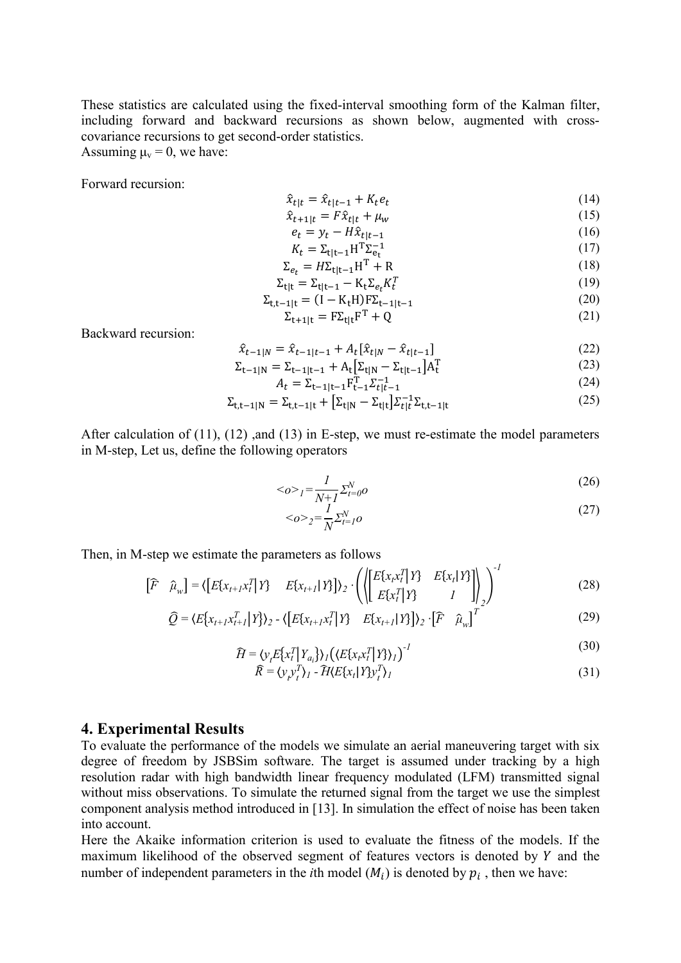These statistics are calculated using the fixed-interval smoothing form of the Kalman filter, including forward and backward recursions as shown below, augmented with crosscovariance recursions to get second-order statistics. Assuming  $\mu_v = 0$ , we have:

Forward recursion:

$$
\hat{x}_{t|t} = \hat{x}_{t|t-1} + K_t e_t
$$
\n(14)\n  
\n
$$
\hat{x}_{t+1|t} = F \hat{x}_{t|t} + \mu_{t}.
$$
\n(15)

$$
\hat{x}_{t+1|t} = F\hat{x}_{t|t} + \mu_w \tag{15}
$$
\n
$$
a = y - H\hat{x} \tag{16}
$$

$$
e_t = y_t - nx_{t|t-1} \tag{10}
$$
\n
$$
V = \sum_{i=1}^{t} n_i x_{t+1} \tag{17}
$$

$$
K_t = \Sigma_{t|t-1} H^T \Sigma_{e_t}^{-1}
$$
  
\n
$$
\Sigma_{e_t} = H \Sigma_{t|t-1} H^T + R
$$
\n(18)

$$
\Sigma_{t|t} = \Sigma_{t|t-1} - K_t \Sigma_{e_t} K_t^T
$$
\n(19)

$$
\Sigma_{t,t-1|t} = (I - K_t H) F \Sigma_{t-1|t-1}
$$
\n(20)

$$
\Sigma_{t+1|t} = F\Sigma_{t|t}F^{T} + Q
$$
\n(21)

Backward recursion:

$$
\hat{x}_{t-1|N} = \hat{x}_{t-1|t-1} + A_t[\hat{x}_{t|N} - \hat{x}_{t|t-1}] \tag{22}
$$

$$
\Sigma_{t-1|N} = \Sigma_{t-1|t-1} + A_t \left[ \Sigma_{t|N} - \Sigma_{t|t-1} \right] A_t^T
$$
\n(23)  
\n
$$
A - \Sigma_{t} \Gamma_{\Sigma}^{-1}
$$
\n(24)

$$
A_t = \Sigma_{t-1|t-1} F_{t-1}^T \Sigma_{t-1}^{-1}
$$
 (24)

$$
\Sigma_{t,t-1|N} = \Sigma_{t,t-1|t} + [\Sigma_{t|N} - \Sigma_{t|t}] \Sigma_{t|t}^{-1} \Sigma_{t,t-1|t}
$$
\n(25)

After calculation of (11), (12) ,and (13) in E-step, we must re-estimate the model parameters in M-step, Let us, define the following operators

$$
\langle \phi \rangle_l = \frac{l}{N+1} \Sigma_{t=0}^N \phi \tag{26}
$$

$$
\langle \phi \rangle_2 = \frac{1}{N} \Sigma_{t=1}^N \phi \tag{27}
$$

*-1*

Then, in M-step we estimate the parameters as follows

$$
\begin{bmatrix} \widehat{F} & \widehat{\mu}_w \end{bmatrix} = \langle \begin{bmatrix} E\{x_{t+1}x_t^T \mid Y\} & E\{x_{t+1} \mid Y\} \end{bmatrix} \rangle_2 \cdot \left( \langle \begin{bmatrix} E\{x_t x_t^T \mid Y\} & E\{x_t \mid Y\} \\ E\{x_t^T \mid Y\} & I \end{bmatrix} \rangle_2 \right)^{-1} \tag{28}
$$

$$
\widehat{Q} = \langle E[x_{t+1}x_{t+1}^T | Y] \rangle_2 - \langle [E[x_{t+1}x_t^T]Y] - E[x_{t+1} | Y] \rangle_2 \cdot [\widehat{F} \ \widehat{\mu}_w]^T
$$
\n(29)

$$
\widehat{H} = \langle \mathbf{v}_t E\{\mathbf{x}_t^T \mid \mathbf{Y}_{a_i}\} \rangle_I \left( \langle E\{\mathbf{x}_t \mathbf{x}_t^T \mid \mathbf{Y}\} \rangle_I \right)^{-1} \tag{30}
$$

$$
\widehat{R} = \langle \mathbf{y}_{i} \mathbf{y}_{i}^{T} \rangle_{I} - \widehat{H} \langle E \{ \mathbf{x}_{i} | Y \} \mathbf{y}_{i}^{T} \rangle_{I} \tag{31}
$$

## **4. Experimental Results**

To evaluate the performance of the models we simulate an aerial maneuvering target with six degree of freedom by JSBSim software. The target is assumed under tracking by a high resolution radar with high bandwidth linear frequency modulated (LFM) transmitted signal without miss observations. To simulate the returned signal from the target we use the simplest component analysis method introduced in [13]. In simulation the effect of noise has been taken into account.

Here the Akaike information criterion is used to evaluate the fitness of the models. If the maximum likelihood of the observed segment of features vectors is denoted by  $Y$  and the number of independent parameters in the *i*th model  $(M_i)$  is denoted by  $p_i$ , then we have: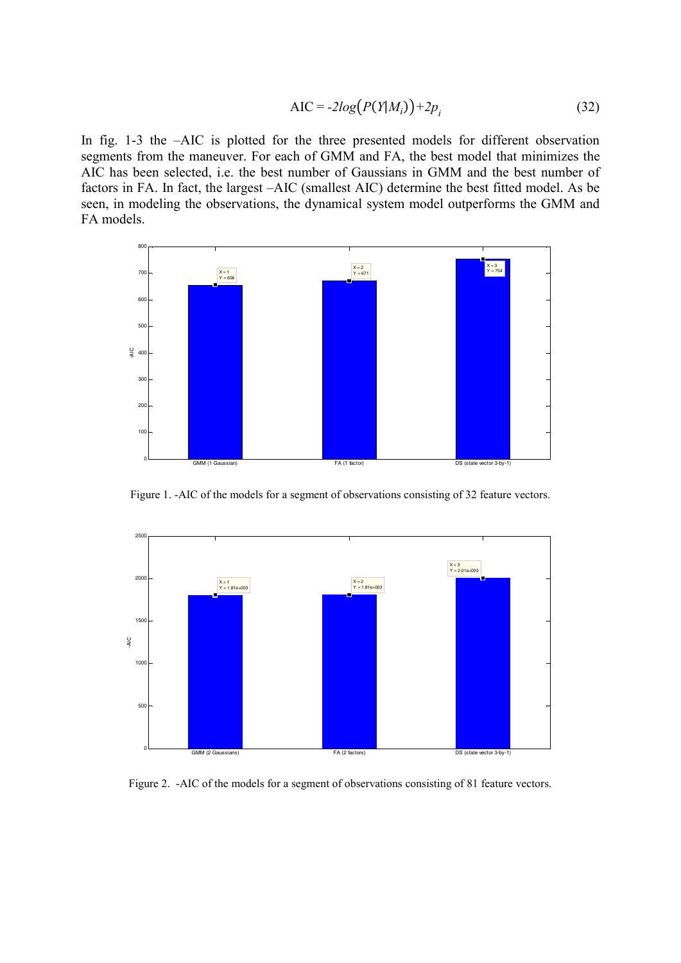$$
AIC = -2log(P(Y|M_i)) + 2p_i
$$
 (32)

In fig. 1-3 the –AIC is plotted for the three presented models for different observation segments from the maneuver. For each of GMM and FA, the best model that minimizes the AIC has been selected, i.e. the best number of Gaussians in GMM and the best number of factors in FA. In fact, the largest –AIC (smallest AIC) determine the best fitted model. As be seen, in modeling the observations, the dynamical system model outperforms the GMM and FA models.



Figure 1. -AIC of the models for a segment of observations consisting of 32 feature vectors.



Figure 2. -AIC of the models for a segment of observations consisting of 81 feature vectors.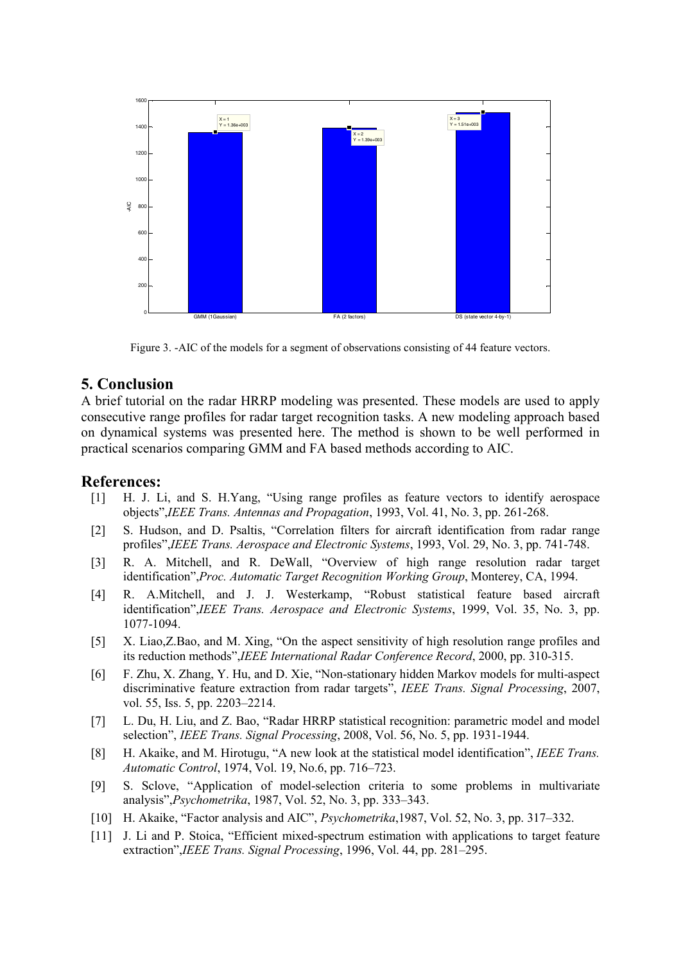

Figure 3. -AIC of the models for a segment of observations consisting of 44 feature vectors.

## **5. Conclusion**

A brief tutorial on the radar HRRP modeling was presented. These models are used to apply consecutive range profiles for radar target recognition tasks. A new modeling approach based on dynamical systems was presented here. The method is shown to be well performed in practical scenarios comparing GMM and FA based methods according to AIC.

## **References:**

- [1] H. J. Li, and S. H.Yang, "Using range profiles as feature vectors to identify aerospace objects",*IEEE Trans. Antennas and Propagation*, 1993, Vol. 41, No. 3, pp. 261-268.
- [2] S. Hudson, and D. Psaltis, "Correlation filters for aircraft identification from radar range profiles",*IEEE Trans. Aerospace and Electronic Systems*, 1993, Vol. 29, No. 3, pp. 741-748.
- [3] R. A. Mitchell, and R. DeWall, "Overview of high range resolution radar target identification",*Proc. Automatic Target Recognition Working Group*, Monterey, CA, 1994.
- [4] R. A.Mitchell, and J. J. Westerkamp, "Robust statistical feature based aircraft identification",*IEEE Trans. Aerospace and Electronic Systems*, 1999, Vol. 35, No. 3, pp. 1077-1094.
- [5] X. Liao,Z.Bao, and M. Xing, "On the aspect sensitivity of high resolution range profiles and its reduction methods",*IEEE International Radar Conference Record*, 2000, pp. 310-315.
- [6] F. Zhu, X. Zhang, Y. Hu, and D. Xie, "Non-stationary hidden Markov models for multi-aspect discriminative feature extraction from radar targets", *IEEE Trans. Signal Processing*, 2007, vol. 55, Iss. 5, pp. 2203–2214.
- [7] L. Du, H. Liu, and Z. Bao, "Radar HRRP statistical recognition: parametric model and model selection", *IEEE Trans. Signal Processing*, 2008, Vol. 56, No. 5, pp. 1931-1944.
- [8] H. Akaike, and M. Hirotugu, "A new look at the statistical model identification", *IEEE Trans. Automatic Control*, 1974, Vol. 19, No.6, pp. 716–723.
- [9] S. Sclove, "Application of model-selection criteria to some problems in multivariate analysis",*Psychometrika*, 1987, Vol. 52, No. 3, pp. 333–343.
- [10] H. Akaike, "Factor analysis and AIC", *Psychometrika*,1987, Vol. 52, No. 3, pp. 317–332.
- [11] J. Li and P. Stoica, "Efficient mixed-spectrum estimation with applications to target feature extraction",*IEEE Trans. Signal Processing*, 1996, Vol. 44, pp. 281–295.